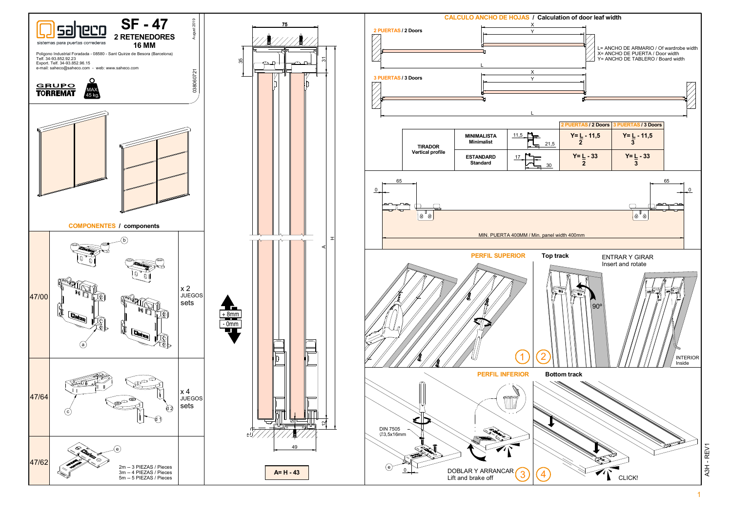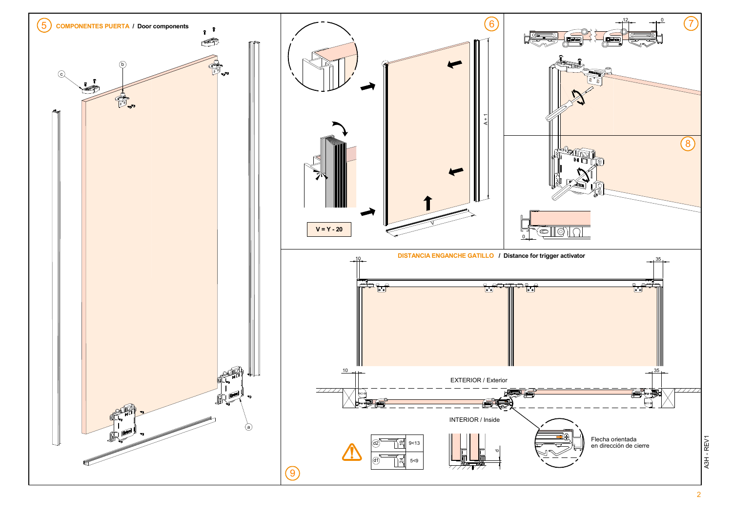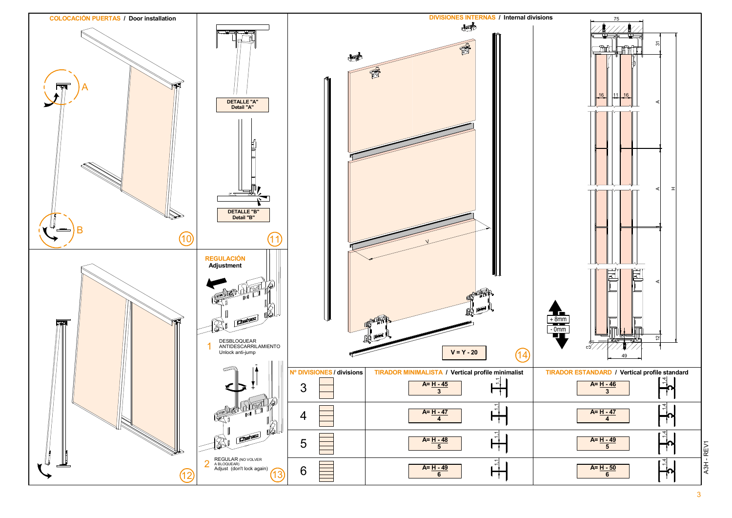3